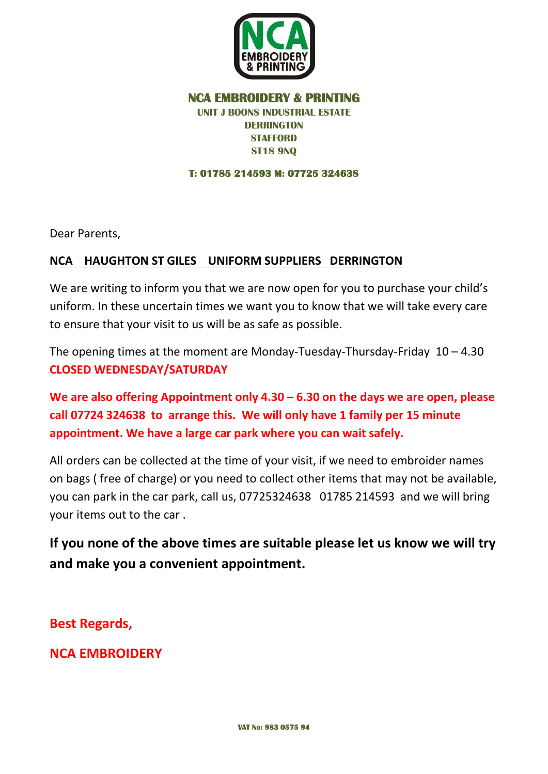

## **NCA EMBROIDERY & PRINTING UNIT J BOONS INDUSTRIAL ESTATE DERRINGTON STAFFORD ST18 9NQ**

**T: 01785 214593 M: 07725 324638** 

Dear Parents,

## **NCA HAUGHTON ST GILES UNIFORM SUPPLIERS DERRINGTON**

We are writing to inform you that we are now open for you to purchase your child's uniform. In these uncertain times we want you to know that we will take every care to ensure that your visit to us will be as safe as possible.

The opening times at the moment are Monday-Tuesday-Thursday-Friday  $10 - 4.30$ **CLOSED WEDNESDAY/SATURDAY**

**We are also offering Appointment only 4.30 – 6.30 on the days we are open, please call 07724 324638 to arrange this. We will only have 1 family per 15 minute appointment. We have a large car park where you can wait safely.**

All orders can be collected at the time of your visit, if we need to embroider names on bags ( free of charge) or you need to collect other items that may not be available, you can park in the car park, call us, 07725324638 01785 214593 and we will bring your items out to the car .

**If you none of the above times are suitable please let us know we will try and make you a convenient appointment.**

**Best Regards,**

**NCA EMBROIDERY**